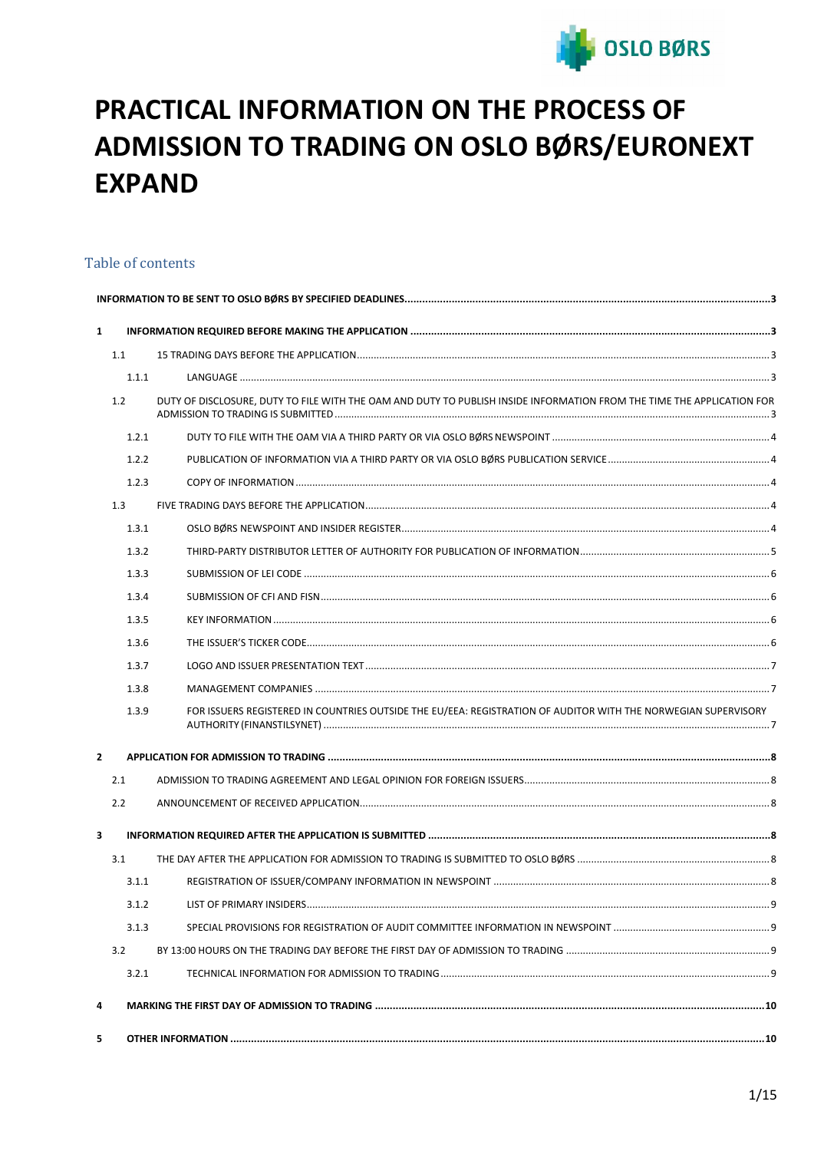

# PRACTICAL INFORMATION ON THE PROCESS OF ADMISSION TO TRADING ON OSLO BØRS/EURONEXT **EXPAND**

# Table of contents

| $\mathbf{1}$   |       |                                                                                                                        |  |  |  |
|----------------|-------|------------------------------------------------------------------------------------------------------------------------|--|--|--|
|                | 1.1   |                                                                                                                        |  |  |  |
|                | 1.1.1 |                                                                                                                        |  |  |  |
|                | 1.2   | DUTY OF DISCLOSURE, DUTY TO FILE WITH THE OAM AND DUTY TO PUBLISH INSIDE INFORMATION FROM THE TIME THE APPLICATION FOR |  |  |  |
|                | 1.2.1 |                                                                                                                        |  |  |  |
|                | 1.2.2 |                                                                                                                        |  |  |  |
|                | 1.2.3 |                                                                                                                        |  |  |  |
|                | 1.3   |                                                                                                                        |  |  |  |
|                | 1.3.1 |                                                                                                                        |  |  |  |
|                | 1.3.2 |                                                                                                                        |  |  |  |
|                | 1.3.3 |                                                                                                                        |  |  |  |
|                | 1.3.4 |                                                                                                                        |  |  |  |
|                | 1.3.5 |                                                                                                                        |  |  |  |
|                | 1.3.6 |                                                                                                                        |  |  |  |
|                | 1.3.7 |                                                                                                                        |  |  |  |
|                | 1.3.8 |                                                                                                                        |  |  |  |
|                | 1.3.9 | FOR ISSUERS REGISTERED IN COUNTRIES OUTSIDE THE EU/EEA: REGISTRATION OF AUDITOR WITH THE NORWEGIAN SUPERVISORY         |  |  |  |
| $\overline{2}$ |       |                                                                                                                        |  |  |  |
|                | 2.1   |                                                                                                                        |  |  |  |
|                | 2.2   |                                                                                                                        |  |  |  |
| 3              |       |                                                                                                                        |  |  |  |
|                | 3.1   |                                                                                                                        |  |  |  |
|                | 3.1.1 |                                                                                                                        |  |  |  |
|                | 3.1.2 | LIST OF PRIMARY INSIDERS                                                                                               |  |  |  |
|                | 3.1.3 |                                                                                                                        |  |  |  |
|                | 3.2   |                                                                                                                        |  |  |  |
|                | 3.2.1 |                                                                                                                        |  |  |  |
| 4              |       |                                                                                                                        |  |  |  |
| -5             |       |                                                                                                                        |  |  |  |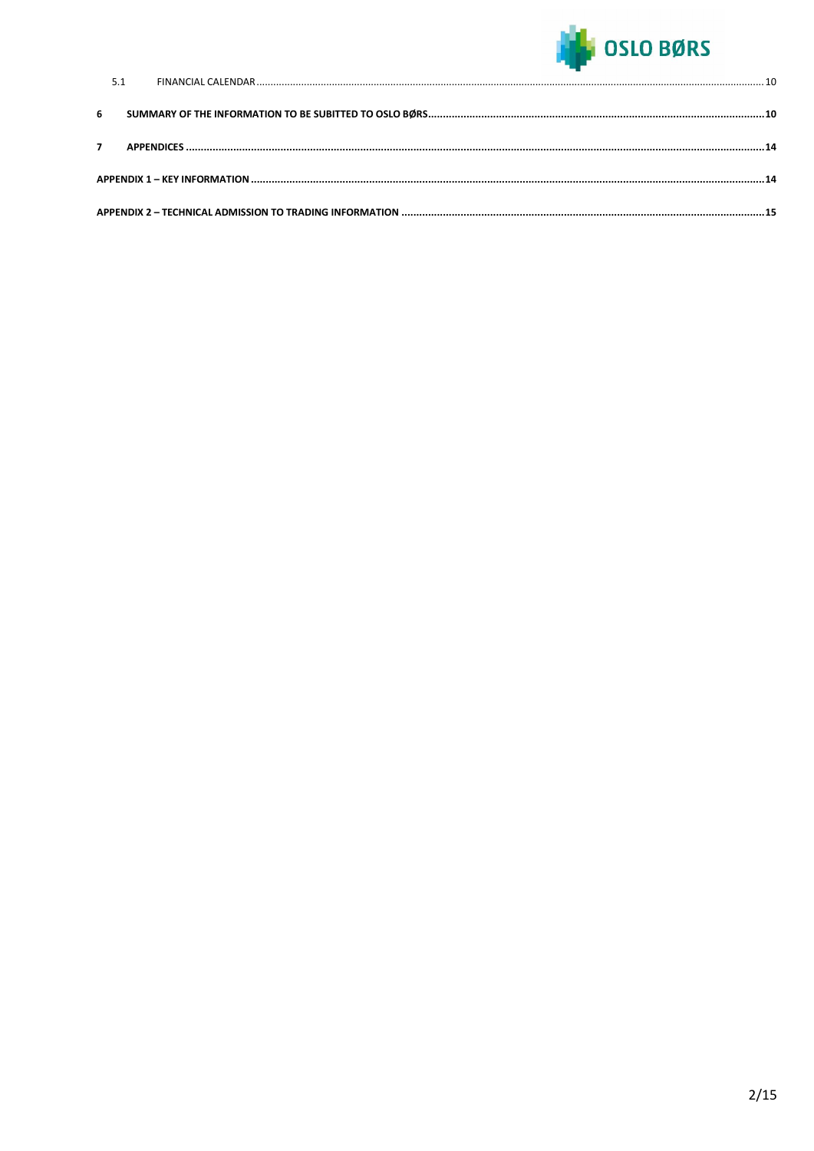

| 6 |  |  |  |
|---|--|--|--|
|   |  |  |  |
|   |  |  |  |
|   |  |  |  |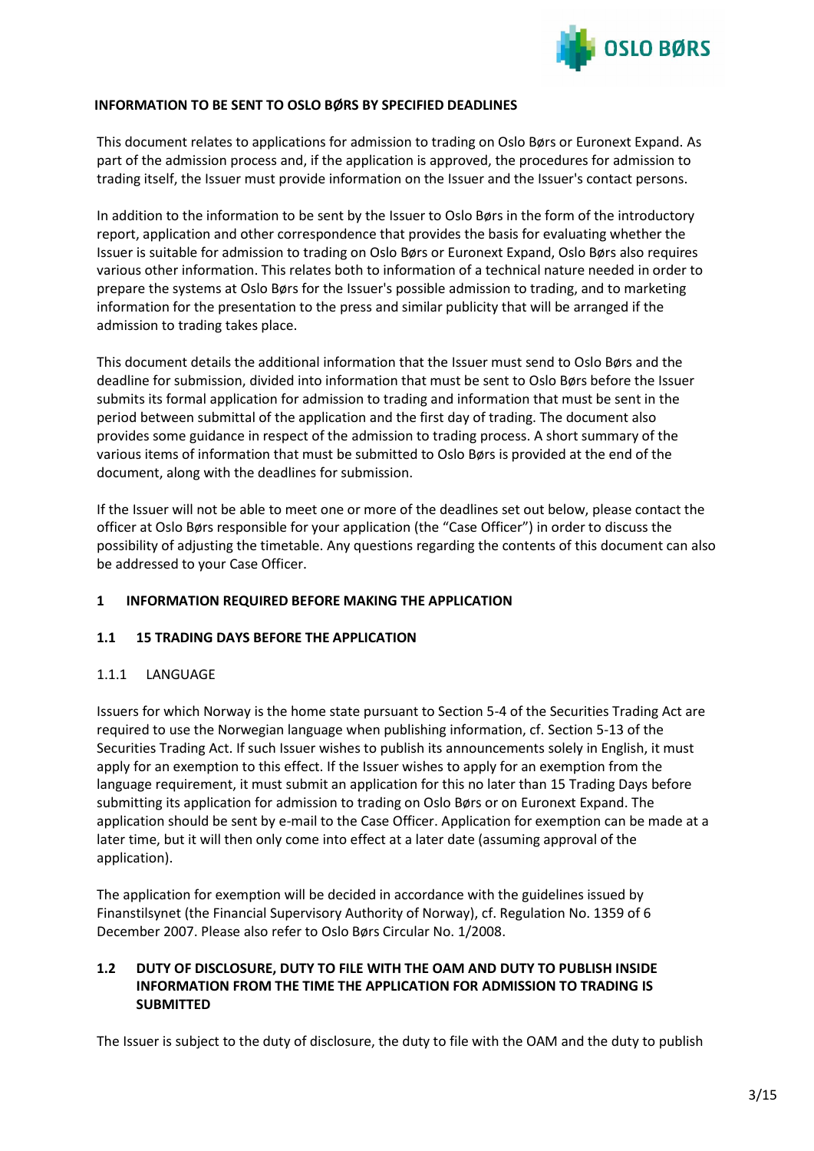

## <span id="page-2-0"></span>**INFORMATION TO BE SENT TO OSLO BØRS BY SPECIFIED DEADLINES**

This document relates to applications for admission to trading on Oslo Børs or Euronext Expand. As part of the admission process and, if the application is approved, the procedures for admission to trading itself, the Issuer must provide information on the Issuer and the Issuer's contact persons.

In addition to the information to be sent by the Issuer to Oslo Børs in the form of the introductory report, application and other correspondence that provides the basis for evaluating whether the Issuer is suitable for admission to trading on Oslo Børs or Euronext Expand, Oslo Børs also requires various other information. This relates both to information of a technical nature needed in order to prepare the systems at Oslo Børs for the Issuer's possible admission to trading, and to marketing information for the presentation to the press and similar publicity that will be arranged if the admission to trading takes place.

This document details the additional information that the Issuer must send to Oslo Børs and the deadline for submission, divided into information that must be sent to Oslo Børs before the Issuer submits its formal application for admission to trading and information that must be sent in the period between submittal of the application and the first day of trading. The document also provides some guidance in respect of the admission to trading process. A short summary of the various items of information that must be submitted to Oslo Børs is provided at the end of the document, along with the deadlines for submission.

If the Issuer will not be able to meet one or more of the deadlines set out below, please contact the officer at Oslo Børs responsible for your application (the "Case Officer") in order to discuss the possibility of adjusting the timetable. Any questions regarding the contents of this document can also be addressed to your Case Officer.

# <span id="page-2-1"></span>**1 INFORMATION REQUIRED BEFORE MAKING THE APPLICATION**

## <span id="page-2-2"></span>**1.1 15 TRADING DAYS BEFORE THE APPLICATION**

## <span id="page-2-3"></span>1.1.1 LANGUAGE

Issuers for which Norway is the home state pursuant to Section 5-4 of the Securities Trading Act are required to use the Norwegian language when publishing information, cf. Section 5-13 of the Securities Trading Act. If such Issuer wishes to publish its announcements solely in English, it must apply for an exemption to this effect. If the Issuer wishes to apply for an exemption from the language requirement, it must submit an application for this no later than 15 Trading Days before submitting its application for admission to trading on Oslo Børs or on Euronext Expand. The application should be sent by e-mail to the Case Officer. Application for exemption can be made at a later time, but it will then only come into effect at a later date (assuming approval of the application).

The application for exemption will be decided in accordance with the guidelines issued by Finanstilsynet (the Financial Supervisory Authority of Norway), cf. Regulation No. 1359 of 6 December 2007. Please also refer to Oslo Børs Circular No. 1/2008.

# <span id="page-2-4"></span>**1.2 DUTY OF DISCLOSURE, DUTY TO FILE WITH THE OAM AND DUTY TO PUBLISH INSIDE INFORMATION FROM THE TIME THE APPLICATION FOR ADMISSION TO TRADING IS SUBMITTED**

The Issuer is subject to the duty of disclosure, the duty to file with the OAM and the duty to publish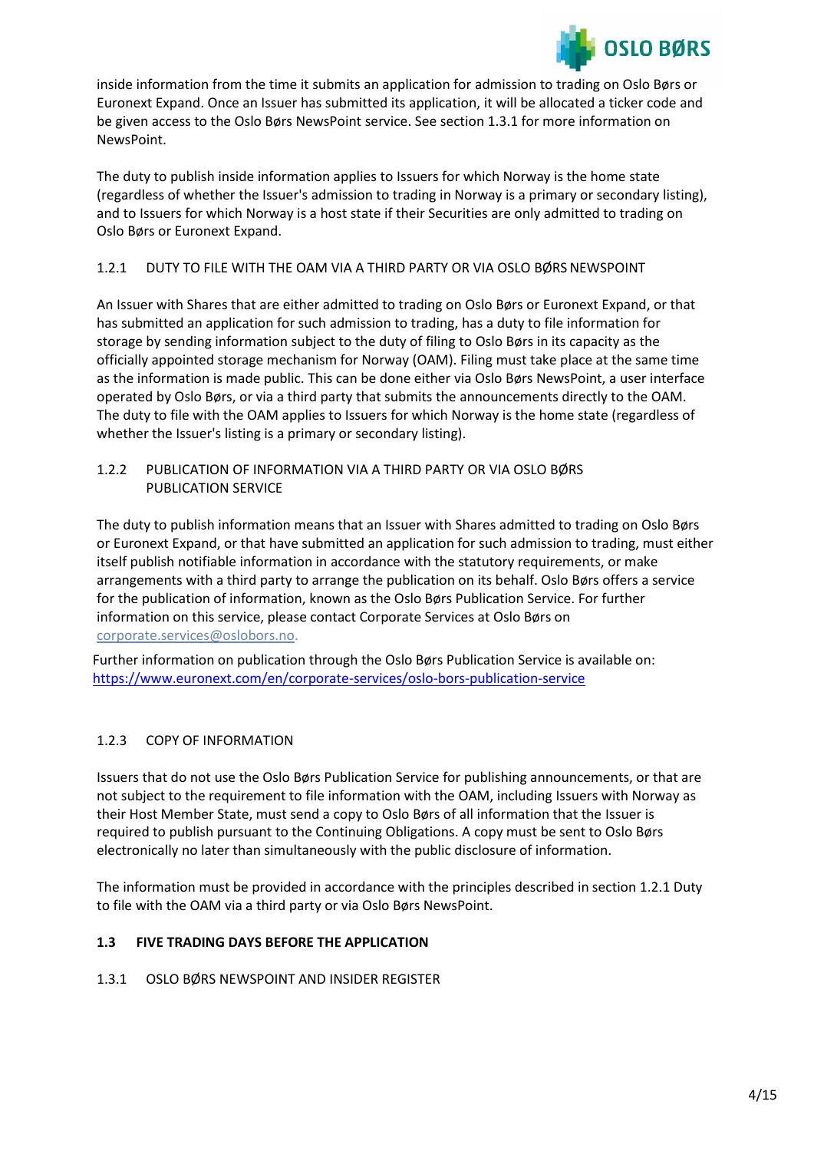

inside information from the time it submits an application for admission to trading on Oslo Børs or Euronext Expand. Once an Issuer has submitted its application, it will be allocated a ticker code and be given access to the Oslo Børs NewsPoint service. See section 1.3.1 for more information on NewsPoint.

The duty to publish inside information applies to Issuers for which Norway is the home state (regardless of whether the Issuer's admission to trading in Norway is a primary or secondary listing), and to Issuers for which Norway is a host state if their Securities are only admitted to trading on Oslo Børs or Euronext Expand.

# <span id="page-3-0"></span>1.2.1 DUTY TO FILE WITH THE OAM VIA A THIRD PARTY OR VIA OSLO BØRSNEWSPOINT

An Issuer with Shares that are either admitted to trading on Oslo Børs or Euronext Expand, or that has submitted an application for such admission to trading, has a duty to file information for storage by sending information subject to the duty of filing to Oslo Børs in its capacity as the officially appointed storage mechanism for Norway (OAM). Filing must take place at the same time as the information is made public. This can be done either via Oslo Børs NewsPoint, a user interface operated by Oslo Børs, or via a third party that submits the announcements directly to the OAM. The duty to file with the OAM applies to Issuers for which Norway is the home state (regardless of whether the Issuer's listing is a primary or secondary listing).

# <span id="page-3-1"></span>1.2.2 PUBLICATION OF INFORMATION VIA A THIRD PARTY OR VIA OSLO BØRS PUBLICATION SERVICE

The duty to publish information means that an Issuer with Shares admitted to trading on Oslo Børs or Euronext Expand, or that have submitted an application for such admission to trading, must either itself publish notifiable information in accordance with the statutory requirements, or make arrangements with a third party to arrange the publication on its behalf. Oslo Børs offers a service for the publication of information, known as the Oslo Børs Publication Service. For further information on this service, please contact Corporate Services at Oslo Børs on [corporate.services@oslobors.no.](mailto:corporate.services@oslobors.no)

Further information on publication through the Oslo Børs Publication Service is available on: <https://www.euronext.com/en/corporate-services/oslo-bors-publication-service>

# <span id="page-3-2"></span>1.2.3 COPY OF INFORMATION

Issuers that do not use the Oslo Børs Publication Service for publishing announcements, or that are not subject to the requirement to file information with the OAM, including Issuers with Norway as their Host Member State, must send a copy to Oslo Børs of all information that the Issuer is required to publish pursuant to the Continuing Obligations. A copy must be sent to Oslo Børs electronically no later than simultaneously with the public disclosure of information.

The information must be provided in accordance with the principles described in section 1.2.1 Duty to file with the OAM via a third party or via Oslo Børs NewsPoint.

# <span id="page-3-3"></span>**1.3 FIVE TRADING DAYS BEFORE THE APPLICATION**

<span id="page-3-4"></span>1.3.1 OSLO BØRS NEWSPOINT AND INSIDER REGISTER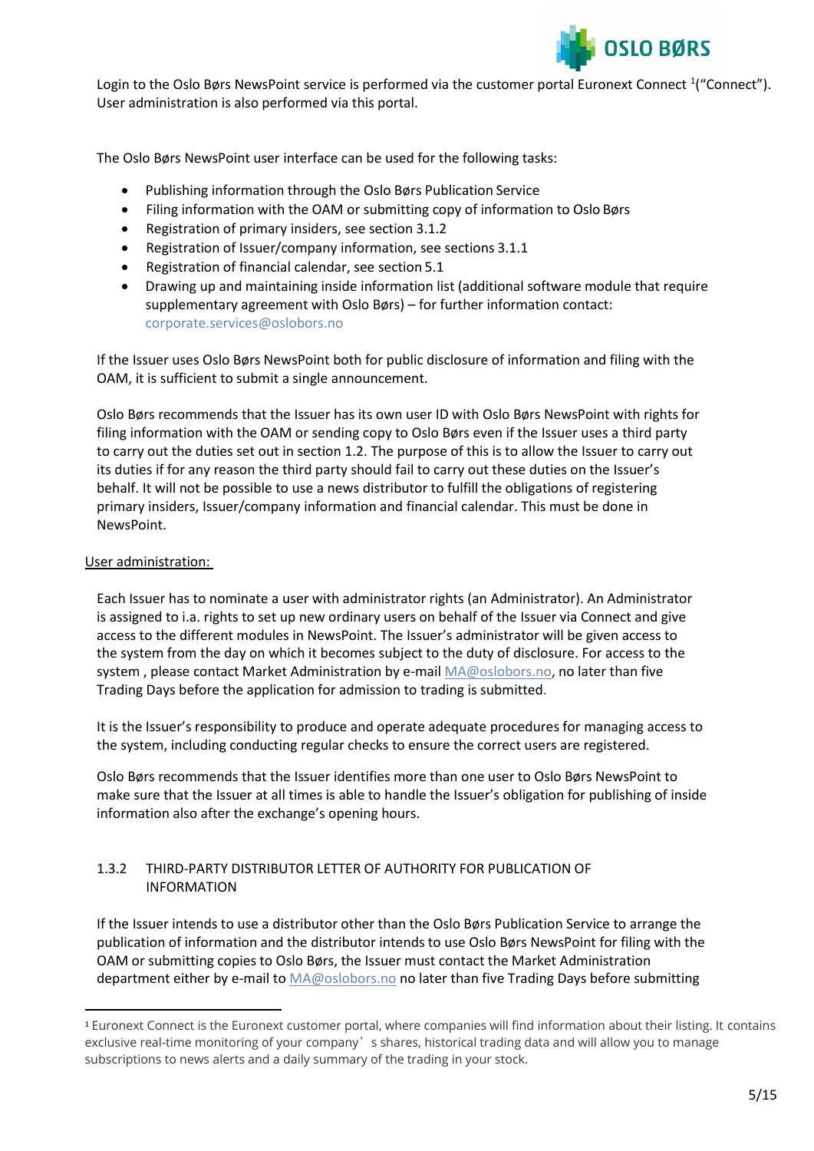

Login to the Oslo Børs NewsPoint service is performed via the customer portal Euronext Connect <sup>1</sup> ("Connect"). User administration is also performed via this portal.

The Oslo Børs NewsPoint user interface can be used for the following tasks:

- Publishing information through the Oslo Børs Publication Service
- Filing information with the OAM or submitting copy of information to Oslo Børs
- Registration of primary insiders, see section 3.1.2
- Registration of Issuer/company information, see sections 3.1.1
- Registration of financial calendar, see section 5.1
- Drawing up and maintaining inside information list (additional software module that require supplementary agreement with Oslo Børs) – for further information contact: [corporate.services@oslobors.no](mailto:corporate.services@oslobors.no)

If the Issuer uses Oslo Børs NewsPoint both for public disclosure of information and filing with the OAM, it is sufficient to submit a single announcement.

Oslo Børs recommends that the Issuer has its own user ID with Oslo Børs NewsPoint with rights for filing information with the OAM or sending copy to Oslo Børs even if the Issuer uses a third party to carry out the duties set out in section 1.2. The purpose of this is to allow the Issuer to carry out its duties if for any reason the third party should fail to carry out these duties on the Issuer's behalf. It will not be possible to use a news distributor to fulfill the obligations of registering primary insiders, Issuer/company information and financial calendar. This must be done in NewsPoint.

## User administration:

Each Issuer has to nominate a user with administrator rights (an Administrator). An Administrator is assigned to i.a. rights to set up new ordinary users on behalf of the Issuer via Connect and give access to the different modules in NewsPoint. The Issuer's administrator will be given access to the system from the day on which it becomes subject to the duty of disclosure. For access to the system, please contact Market Administration by e-mail [MA@oslobors.no, n](mailto:MA@oslobors.no)o later than five Trading Days before the application for admission to trading is submitted.

It is the Issuer's responsibility to produce and operate adequate procedures for managing access to the system, including conducting regular checks to ensure the correct users are registered.

Oslo Børs recommends that the Issuer identifies more than one user to Oslo Børs NewsPoint to make sure that the Issuer at all times is able to handle the Issuer's obligation for publishing of inside information also after the exchange's opening hours.

## <span id="page-4-0"></span>1.3.2 THIRD-PARTY DISTRIBUTOR LETTER OF AUTHORITY FOR PUBLICATION OF INFORMATION

If the Issuer intends to use a distributor other than the Oslo Børs Publication Service to arrange the publication of information and the distributor intends to use Oslo Børs NewsPoint for filing with the OAM or submitting copies to Oslo Børs, the Issuer must contact the Market Administration department either by e-mail t[o MA@oslobors.no](mailto:MA@oslobors.no) no later than five Trading Days before submitting

<sup>1</sup> Euronext Connect is the Euronext customer portal, where companies will find information about their listing. It contains exclusive real-time monitoring of your company's shares, historical trading data and will allow you to manage subscriptions to news alerts and a daily summary of the trading in your stock.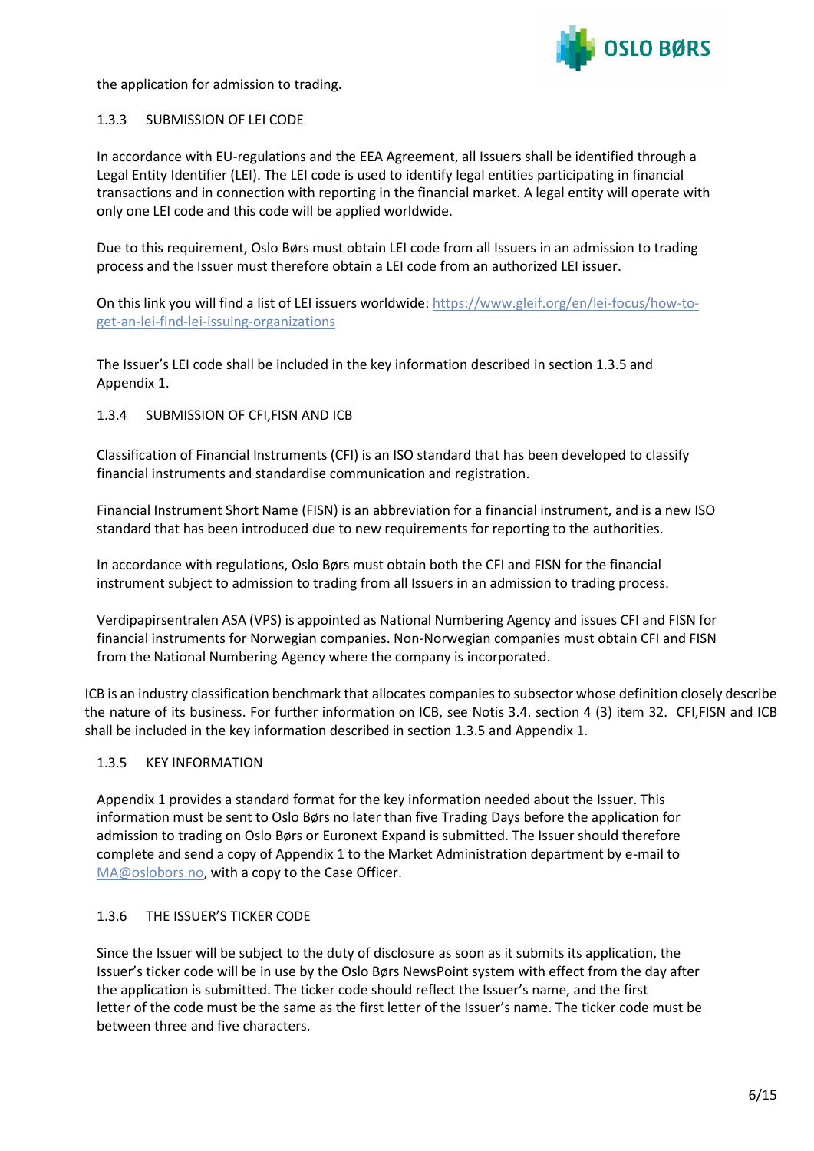

the application for admission to trading.

## <span id="page-5-0"></span>1.3.3 SUBMISSION OF LEI CODE

In accordance with EU-regulations and the EEA Agreement, all Issuers shall be identified through a Legal Entity Identifier (LEI). The LEI code is used to identify legal entities participating in financial transactions and in connection with reporting in the financial market. A legal entity will operate with only one LEI code and this code will be applied worldwide.

Due to this requirement, Oslo Børs must obtain LEI code from all Issuers in an admission to trading process and the Issuer must therefore obtain a LEI code from an authorized LEI issuer.

On this link you will find a list of LEI issuers worldwide: [https://www.gleif.org/en/lei-focus/how-to](https://www.gleif.org/en/lei-focus/how-to-get-an-lei-find-lei-issuing-organizations)[get-an-lei-find-lei-issuing-organizations](https://www.gleif.org/en/lei-focus/how-to-get-an-lei-find-lei-issuing-organizations)

The Issuer's LEI code shall be included in the key information described in section 1.3.5 and Appendix 1.

## <span id="page-5-1"></span>1.3.4 SUBMISSION OF CFI,FISN AND ICB

Classification of Financial Instruments (CFI) is an ISO standard that has been developed to classify financial instruments and standardise communication and registration.

Financial Instrument Short Name (FISN) is an abbreviation for a financial instrument, and is a new ISO standard that has been introduced due to new requirements for reporting to the authorities.

In accordance with regulations, Oslo Børs must obtain both the CFI and FISN for the financial instrument subject to admission to trading from all Issuers in an admission to trading process.

Verdipapirsentralen ASA (VPS) is appointed as National Numbering Agency and issues CFI and FISN for financial instruments for Norwegian companies. Non-Norwegian companies must obtain CFI and FISN from the National Numbering Agency where the company is incorporated.

ICB is an industry classification benchmark that allocates companies to subsector whose definition closely describe the nature of its business. For further information on ICB, see Notis 3.4. section 4 (3) item 32. CFI,FISN and ICB shall be included in the key information described in section 1.3.5 and Appendix 1.

## <span id="page-5-2"></span>1.3.5 KEY INFORMATION

Appendix 1 provides a standard format for the key information needed about the Issuer. This information must be sent to Oslo Børs no later than five Trading Days before the application for admission to trading on Oslo Børs or Euronext Expand is submitted. The Issuer should therefore complete and send a copy of Appendix 1 to the Market Administration department by e-mail to [MA@oslobors.no, w](mailto:MA@oslobors.no)ith a copy to the Case Officer.

## <span id="page-5-3"></span>1.3.6 THE ISSUER'S TICKER CODE

Since the Issuer will be subject to the duty of disclosure as soon as it submits its application, the Issuer's ticker code will be in use by the Oslo Børs NewsPoint system with effect from the day after the application is submitted. The ticker code should reflect the Issuer's name, and the first letter of the code must be the same as the first letter of the Issuer's name. The ticker code must be between three and five characters.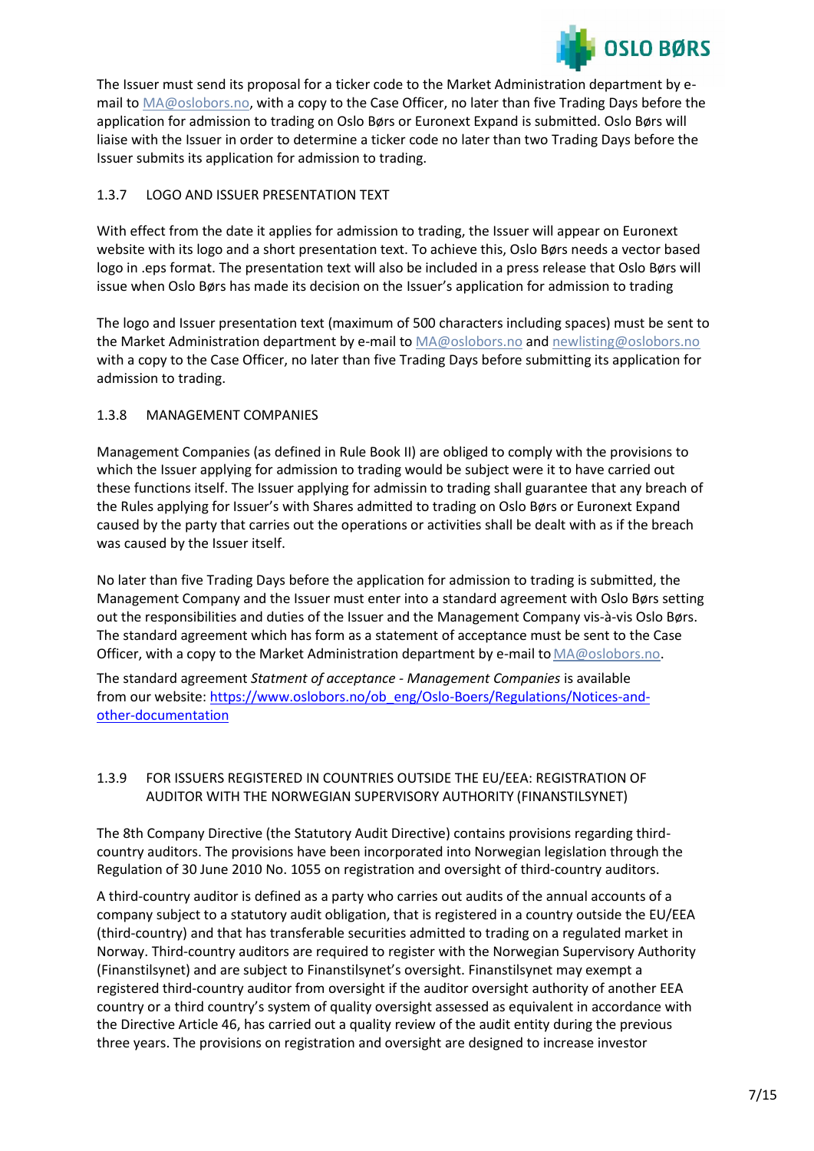

The Issuer must send its proposal for a ticker code to the Market Administration department by email to [MA@oslobors.no, w](mailto:MA@oslobors.no)ith a copy to the Case Officer, no later than five Trading Days before the application for admission to trading on Oslo Børs or Euronext Expand is submitted. Oslo Børs will liaise with the Issuer in order to determine a ticker code no later than two Trading Days before the Issuer submits its application for admission to trading.

# <span id="page-6-0"></span>1.3.7 LOGO AND ISSUER PRESENTATION TEXT

With effect from the date it applies for admission to trading, the Issuer will appear on Euronext website with its logo and a short presentation text. To achieve this, Oslo Børs needs a vector based logo in .eps format. The presentation text will also be included in a press release that Oslo Børs will issue when Oslo Børs has made its decision on the Issuer's application for admission to trading

The logo and Issuer presentation text (maximum of 500 characters including spaces) must be sent to the Market Administration department by e-mail to [MA@oslobors.no](mailto:MA@oslobors.no) and [newlisting@oslobors.no](mailto:newlisting@oslobors.no) with a copy to the Case Officer, no later than five Trading Days before submitting its application for admission to trading.

# <span id="page-6-1"></span>1.3.8 MANAGEMENT COMPANIES

Management Companies (as defined in Rule Book II) are obliged to comply with the provisions to which the Issuer applying for admission to trading would be subject were it to have carried out these functions itself. The Issuer applying for admissin to trading shall guarantee that any breach of the Rules applying for Issuer's with Shares admitted to trading on Oslo Børs or Euronext Expand caused by the party that carries out the operations or activities shall be dealt with as if the breach was caused by the Issuer itself.

No later than five Trading Days before the application for admission to trading is submitted, the Management Company and the Issuer must enter into a standard agreement with Oslo Børs setting out the responsibilities and duties of the Issuer and the Management Company vis-à-vis Oslo Børs. The standard agreement which has form as a statement of acceptance must be sent to the Case Officer, with a copy to the Market Administration department by e-mail to [MA@oslobors.no.](mailto:MA@oslobors.no)

The standard agreement *Statment of acceptance - Management Companies* is available from our website[: https://www.oslobors.no/ob\\_eng/Oslo-Boers/Regulations/Notices-and](https://www.oslobors.no/ob_eng/Oslo-Boers/Regulations/Notices-and-other-documentation)[other-documentation](https://www.oslobors.no/ob_eng/Oslo-Boers/Regulations/Notices-and-other-documentation)

# <span id="page-6-2"></span>1.3.9 FOR ISSUERS REGISTERED IN COUNTRIES OUTSIDE THE EU/EEA: REGISTRATION OF AUDITOR WITH THE NORWEGIAN SUPERVISORY AUTHORITY (FINANSTILSYNET)

The 8th Company Directive (the Statutory Audit Directive) contains provisions regarding thirdcountry auditors. The provisions have been incorporated into Norwegian legislation through the Regulation of 30 June 2010 No. 1055 on registration and oversight of third-country auditors.

A third-country auditor is defined as a party who carries out audits of the annual accounts of a company subject to a statutory audit obligation, that is registered in a country outside the EU/EEA (third-country) and that has transferable securities admitted to trading on a regulated market in Norway. Third-country auditors are required to register with the Norwegian Supervisory Authority (Finanstilsynet) and are subject to Finanstilsynet's oversight. Finanstilsynet may exempt a registered third-country auditor from oversight if the auditor oversight authority of another EEA country or a third country's system of quality oversight assessed as equivalent in accordance with the Directive Article 46, has carried out a quality review of the audit entity during the previous three years. The provisions on registration and oversight are designed to increase investor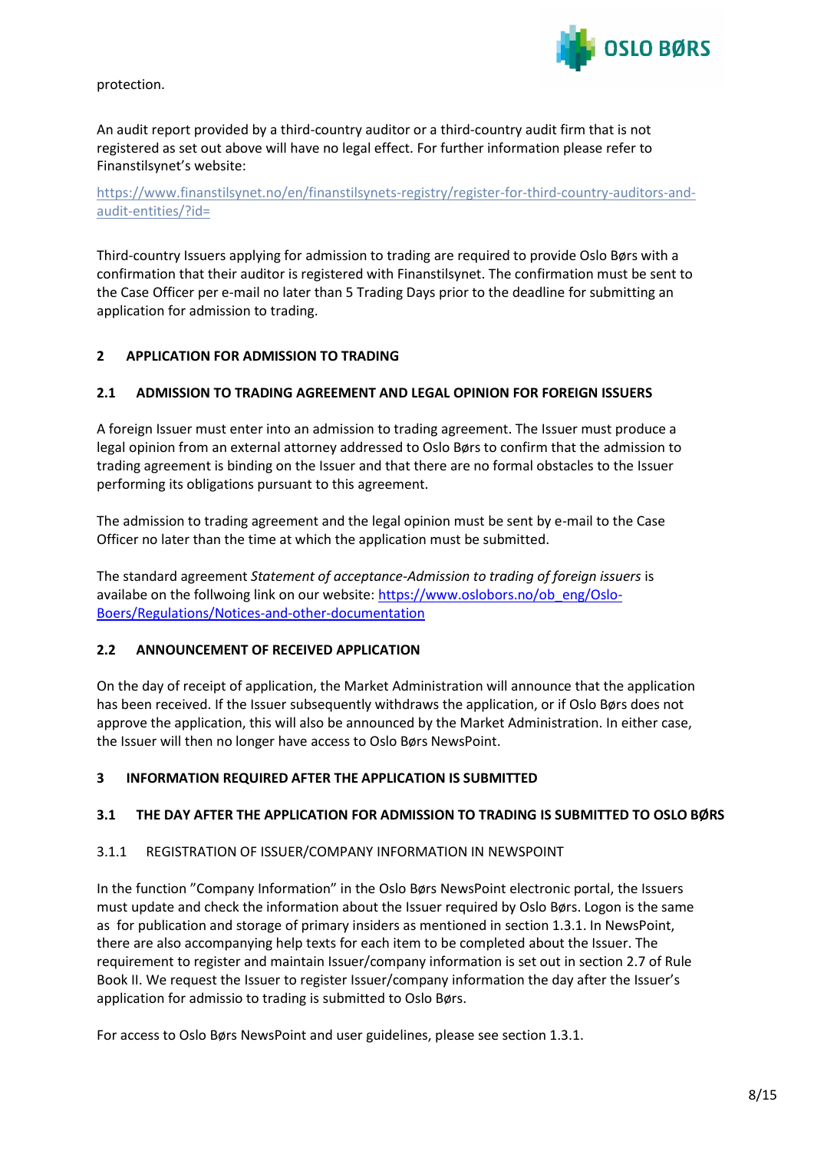

protection.

An audit report provided by a third-country auditor or a third-country audit firm that is not registered as set out above will have no legal effect. For further information please refer to Finanstilsynet's website:

[https://www.finanstilsynet.no/en/finanstilsynets-registry/register-for-third-country-auditors-and](https://www.finanstilsynet.no/en/finanstilsynets-registry/register-for-third-country-auditors-and-audit-entities/?id)[audit-entities/?id=](https://www.finanstilsynet.no/en/finanstilsynets-registry/register-for-third-country-auditors-and-audit-entities/?id)

Third-country Issuers applying for admission to trading are required to provide Oslo Børs with a confirmation that their auditor is registered with Finanstilsynet. The confirmation must be sent to the Case Officer per e-mail no later than 5 Trading Days prior to the deadline for submitting an application for admission to trading.

# <span id="page-7-0"></span>**2 APPLICATION FOR ADMISSION TO TRADING**

## <span id="page-7-1"></span>**2.1 ADMISSION TO TRADING AGREEMENT AND LEGAL OPINION FOR FOREIGN ISSUERS**

A foreign Issuer must enter into an admission to trading agreement. The Issuer must produce a legal opinion from an external attorney addressed to Oslo Børs to confirm that the admission to trading agreement is binding on the Issuer and that there are no formal obstacles to the Issuer performing its obligations pursuant to this agreement.

The admission to trading agreement and the legal opinion must be sent by e-mail to the Case Officer no later than the time at which the application must be submitted.

The standard agreement *Statement of acceptance-Admission to trading of foreign issuers* is availabe on the follwoing link on our website[: https://www.oslobors.no/ob\\_eng/Oslo-](https://www.oslobors.no/ob_eng/Oslo-Boers/Regulations/Notices-and-other-documentation)[Boers/Regulations/Notices-and-other-documentation](https://www.oslobors.no/ob_eng/Oslo-Boers/Regulations/Notices-and-other-documentation)

## <span id="page-7-2"></span>**2.2 ANNOUNCEMENT OF RECEIVED APPLICATION**

On the day of receipt of application, the Market Administration will announce that the application has been received. If the Issuer subsequently withdraws the application, or if Oslo Børs does not approve the application, this will also be announced by the Market Administration. In either case, the Issuer will then no longer have access to Oslo Børs NewsPoint.

# <span id="page-7-3"></span>**3 INFORMATION REQUIRED AFTER THE APPLICATION IS SUBMITTED**

## <span id="page-7-4"></span>**3.1 THE DAY AFTER THE APPLICATION FOR ADMISSION TO TRADING IS SUBMITTED TO OSLO BØRS**

## <span id="page-7-5"></span>3.1.1 REGISTRATION OF ISSUER/COMPANY INFORMATION IN NEWSPOINT

In the function "Company Information" in the Oslo Børs NewsPoint electronic portal, the Issuers must update and check the information about the Issuer required by Oslo Børs. Logon is the same as for publication and storage of primary insiders as mentioned in section 1.3.1. In NewsPoint, there are also accompanying help texts for each item to be completed about the Issuer. The requirement to register and maintain Issuer/company information is set out in section 2.7 of Rule Book II. We request the Issuer to register Issuer/company information the day after the Issuer's application for admissio to trading is submitted to Oslo Børs.

For access to Oslo Børs NewsPoint and user guidelines, please see section 1.3.1.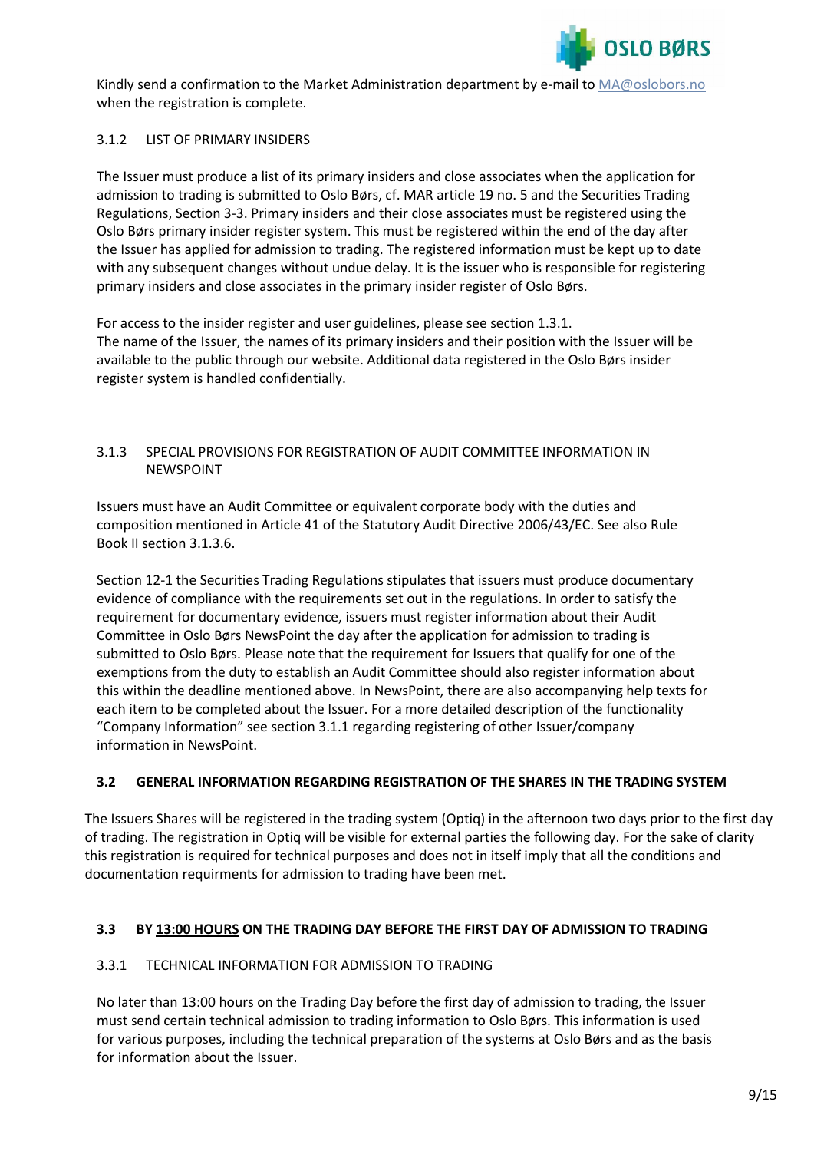

Kindly send a confirmation to the Market Administration department by e-mail to [MA@oslobors.no](mailto:%20MA@oslobors.no) when the registration is complete.

# <span id="page-8-0"></span>3.1.2 LIST OF PRIMARY INSIDERS

The Issuer must produce a list of its primary insiders and close associates when the application for admission to trading is submitted to Oslo Børs, cf. MAR article 19 no. 5 and the Securities Trading Regulations, Section 3-3. Primary insiders and their close associates must be registered using the Oslo Børs primary insider register system. This must be registered within the end of the day after the Issuer has applied for admission to trading. The registered information must be kept up to date with any subsequent changes without undue delay. It is the issuer who is responsible for registering primary insiders and close associates in the primary insider register of Oslo Børs.

For access to the insider register and user guidelines, please see section 1.3.1. The name of the Issuer, the names of its primary insiders and their position with the Issuer will be available to the public through our website. Additional data registered in the Oslo Børs insider register system is handled confidentially.

## <span id="page-8-1"></span>3.1.3 SPECIAL PROVISIONS FOR REGISTRATION OF AUDIT COMMITTEE INFORMATION IN NEWSPOINT

Issuers must have an Audit Committee or equivalent corporate body with the duties and composition mentioned in Article 41 of the Statutory Audit Directive 2006/43/EC. See also Rule Book II section 3.1.3.6.

Section 12-1 the Securities Trading Regulations stipulates that issuers must produce documentary evidence of compliance with the requirements set out in the regulations. In order to satisfy the requirement for documentary evidence, issuers must register information about their Audit Committee in Oslo Børs NewsPoint the day after the application for admission to trading is submitted to Oslo Børs. Please note that the requirement for Issuers that qualify for one of the exemptions from the duty to establish an Audit Committee should also register information about this within the deadline mentioned above. In NewsPoint, there are also accompanying help texts for each item to be completed about the Issuer. For a more detailed description of the functionality "Company Information" see section 3.1.1 regarding registering of other Issuer/company information in NewsPoint.

## <span id="page-8-2"></span>**3.2 GENERAL INFORMATION REGARDING REGISTRATION OF THE SHARES IN THE TRADING SYSTEM**

The Issuers Shares will be registered in the trading system (Optiq) in the afternoon two days prior to the first day of trading. The registration in Optiq will be visible for external parties the following day. For the sake of clarity this registration is required for technical purposes and does not in itself imply that all the conditions and documentation requirments for admission to trading have been met.

# **3.3 BY 13:00 HOURS ON THE TRADING DAY BEFORE THE FIRST DAY OF ADMISSION TO TRADING**

## <span id="page-8-3"></span>3.3.1 TECHNICAL INFORMATION FOR ADMISSION TO TRADING

No later than 13:00 hours on the Trading Day before the first day of admission to trading, the Issuer must send certain technical admission to trading information to Oslo Børs. This information is used for various purposes, including the technical preparation of the systems at Oslo Børs and as the basis for information about the Issuer.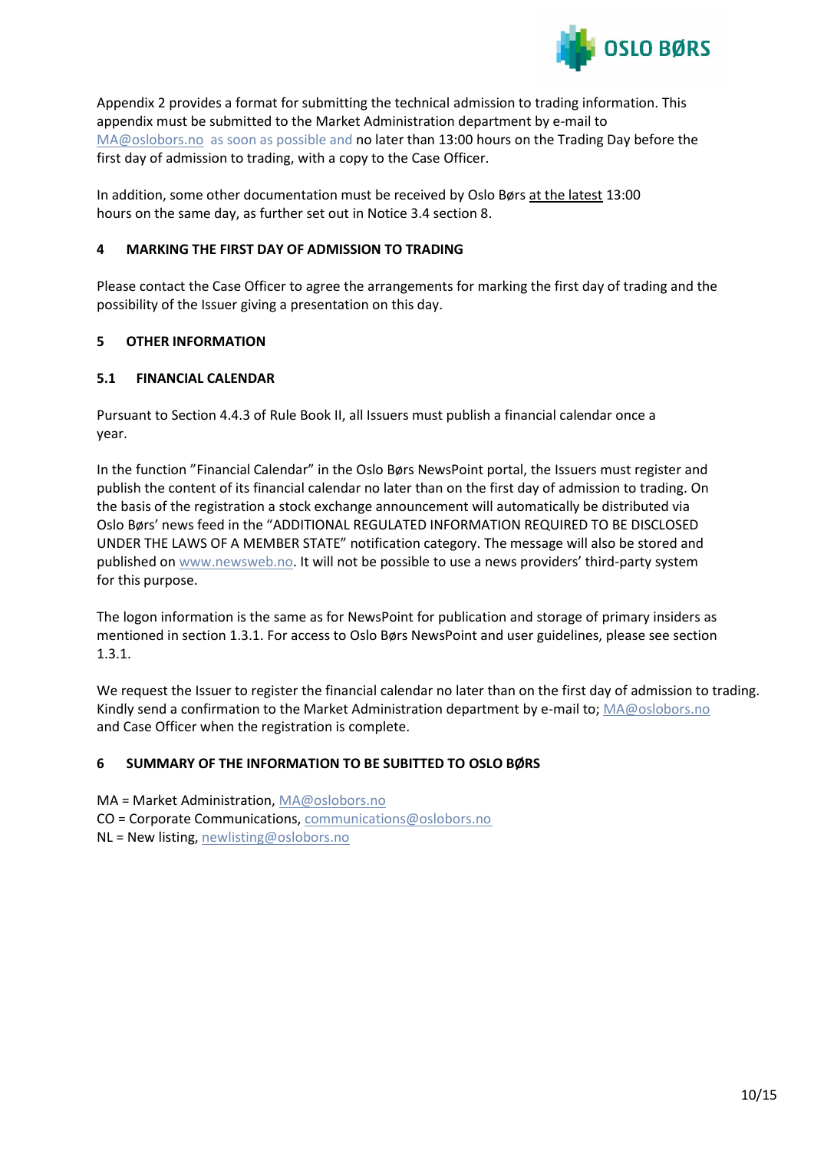

Appendix 2 provides a format for submitting the technical admission to trading information. This appendix must be submitted to the Market Administration department by e-mail to [MA@oslobors.no](mailto:MA@oslobors.no) as soon as possible and no later than 13:00 hours on the Trading Day before the first day of admission to trading, with a copy to the Case Officer.

In addition, some other documentation must be received by Oslo Børs at the latest 13:00 hours on the same day, as further set out in Notice 3.4 section 8.

# <span id="page-9-0"></span>**4 MARKING THE FIRST DAY OF ADMISSION TO TRADING**

Please contact the Case Officer to agree the arrangements for marking the first day of trading and the possibility of the Issuer giving a presentation on this day.

# <span id="page-9-1"></span>**5 OTHER INFORMATION**

# <span id="page-9-2"></span>**5.1 FINANCIAL CALENDAR**

Pursuant to Section 4.4.3 of Rule Book II, all Issuers must publish a financial calendar once a year.

In the function "Financial Calendar" in the Oslo Børs NewsPoint portal, the Issuers must register and publish the content of its financial calendar no later than on the first day of admission to trading. On the basis of the registration a stock exchange announcement will automatically be distributed via Oslo Børs' news feed in the "ADDITIONAL REGULATED INFORMATION REQUIRED TO BE DISCLOSED UNDER THE LAWS OF A MEMBER STATE" notification category. The message will also be stored and published on [www.newsweb.no](http://www.newsweb.no/). It will not be possible to use a news providers' third-party system for this purpose.

The logon information is the same as for NewsPoint for publication and storage of primary insiders as mentioned in section 1.3.1. For access to Oslo Børs NewsPoint and user guidelines, please see section 1.3.1.

We request the Issuer to register the financial calendar no later than on the first day of admission to trading. Kindly send a confirmation to the Market Administration department by e-mail to; [MA@oslobors.no](mailto:MA@oslobors.no) and Case Officer when the registration is complete.

# <span id="page-9-3"></span>**6 SUMMARY OF THE INFORMATION TO BE SUBITTED TO OSLO BØRS**

MA = Market Administration, [MA@oslobors.no](mailto:MA@oslobors.no)  CO = Corporate Communications, [communications@oslobors.no](mailto:communications@oslobors.no) NL = New listing[, newlisting@oslobors.no](mailto:newlisting@oslobors.no)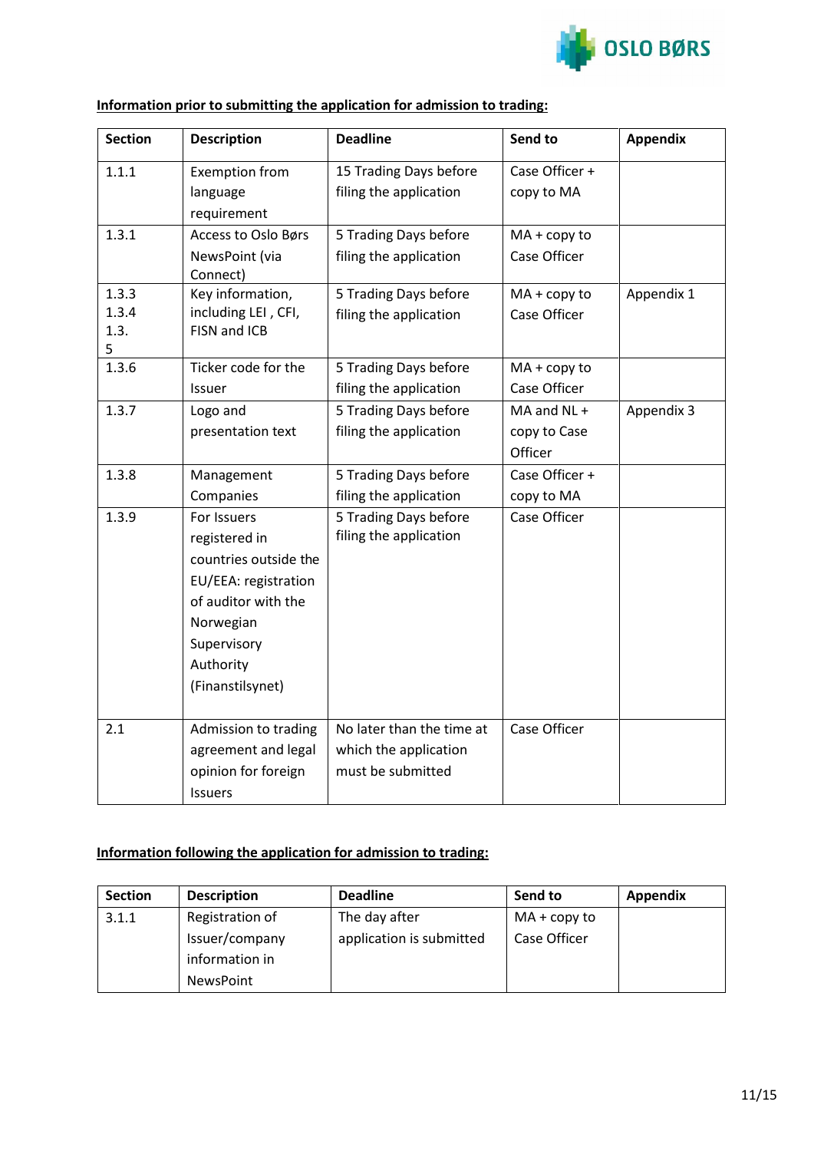

| <b>Section</b> | <b>Description</b>                  | <b>Deadline</b>           | Send to        | <b>Appendix</b> |
|----------------|-------------------------------------|---------------------------|----------------|-----------------|
| 1.1.1          | <b>Exemption from</b>               | 15 Trading Days before    | Case Officer + |                 |
|                | language                            | filing the application    | copy to MA     |                 |
|                | requirement                         |                           |                |                 |
| 1.3.1          | Access to Oslo Børs                 | 5 Trading Days before     | $MA + copy to$ |                 |
|                | NewsPoint (via                      | filing the application    | Case Officer   |                 |
|                | Connect)                            |                           |                |                 |
| 1.3.3          | Key information,                    | 5 Trading Days before     | $MA + copy to$ | Appendix 1      |
| 1.3.4<br>1.3.  | including LEI, CFI,<br>FISN and ICB | filing the application    | Case Officer   |                 |
| 5              |                                     |                           |                |                 |
| 1.3.6          | Ticker code for the                 | 5 Trading Days before     | $MA + copy to$ |                 |
|                | Issuer                              | filing the application    | Case Officer   |                 |
| 1.3.7          | Logo and                            | 5 Trading Days before     | MA and NL +    | Appendix 3      |
|                | presentation text                   | filing the application    | copy to Case   |                 |
|                |                                     |                           | Officer        |                 |
| 1.3.8          | Management                          | 5 Trading Days before     | Case Officer + |                 |
|                | Companies                           | filing the application    | copy to MA     |                 |
| 1.3.9          | For Issuers                         | 5 Trading Days before     | Case Officer   |                 |
|                | registered in                       | filing the application    |                |                 |
|                | countries outside the               |                           |                |                 |
|                | EU/EEA: registration                |                           |                |                 |
|                | of auditor with the                 |                           |                |                 |
|                | Norwegian                           |                           |                |                 |
|                | Supervisory                         |                           |                |                 |
|                | Authority                           |                           |                |                 |
|                | (Finanstilsynet)                    |                           |                |                 |
|                |                                     |                           |                |                 |
| 2.1            | Admission to trading                | No later than the time at | Case Officer   |                 |
|                | agreement and legal                 | which the application     |                |                 |
|                | opinion for foreign                 | must be submitted         |                |                 |
|                | Issuers                             |                           |                |                 |

# **Information prior to submitting the application for admission to trading:**

# **Information following the application for admission to trading:**

| <b>Section</b> | <b>Description</b> | <b>Deadline</b>          | Send to        | <b>Appendix</b> |
|----------------|--------------------|--------------------------|----------------|-----------------|
| 3.1.1          | Registration of    | The day after            | $MA + copy to$ |                 |
|                | Issuer/company     | application is submitted | Case Officer   |                 |
|                | information in     |                          |                |                 |
|                | NewsPoint          |                          |                |                 |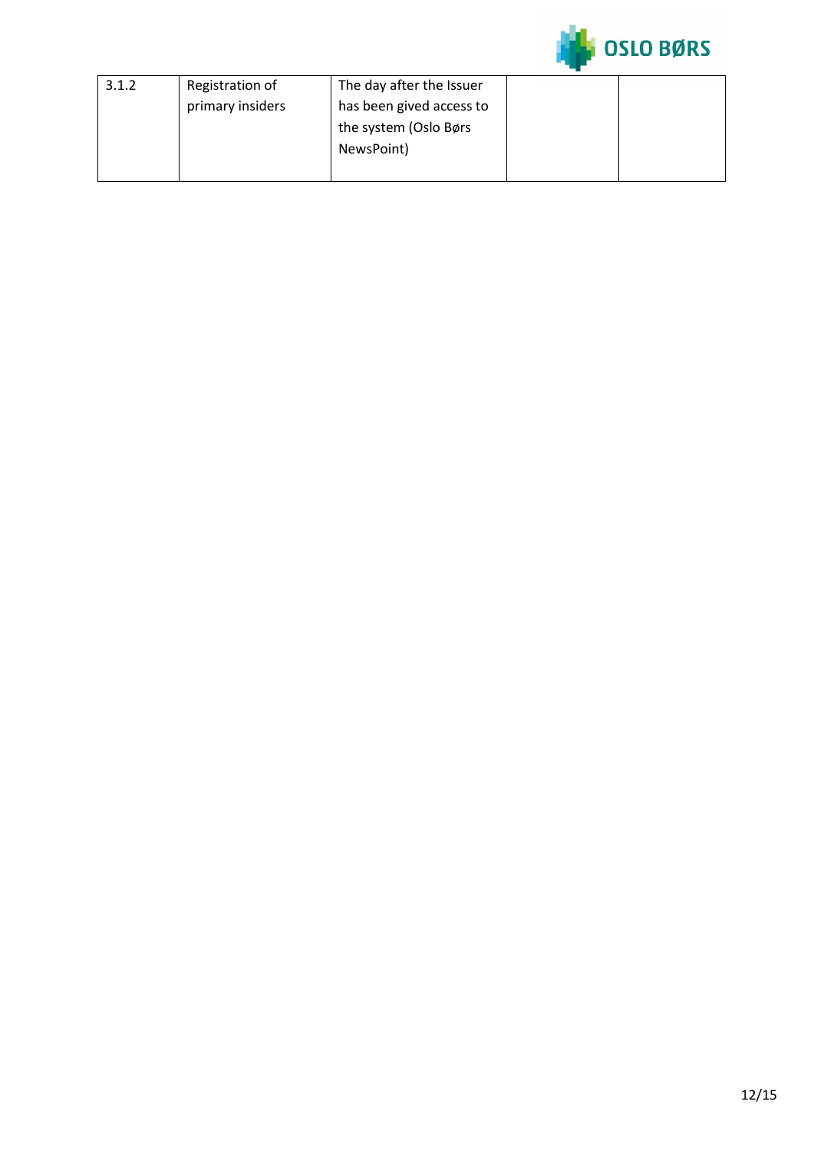

| 3.1.2 | Registration of  | The day after the Issuer |  |
|-------|------------------|--------------------------|--|
|       | primary insiders | has been gived access to |  |
|       |                  | the system (Oslo Børs    |  |
|       |                  | NewsPoint)               |  |
|       |                  |                          |  |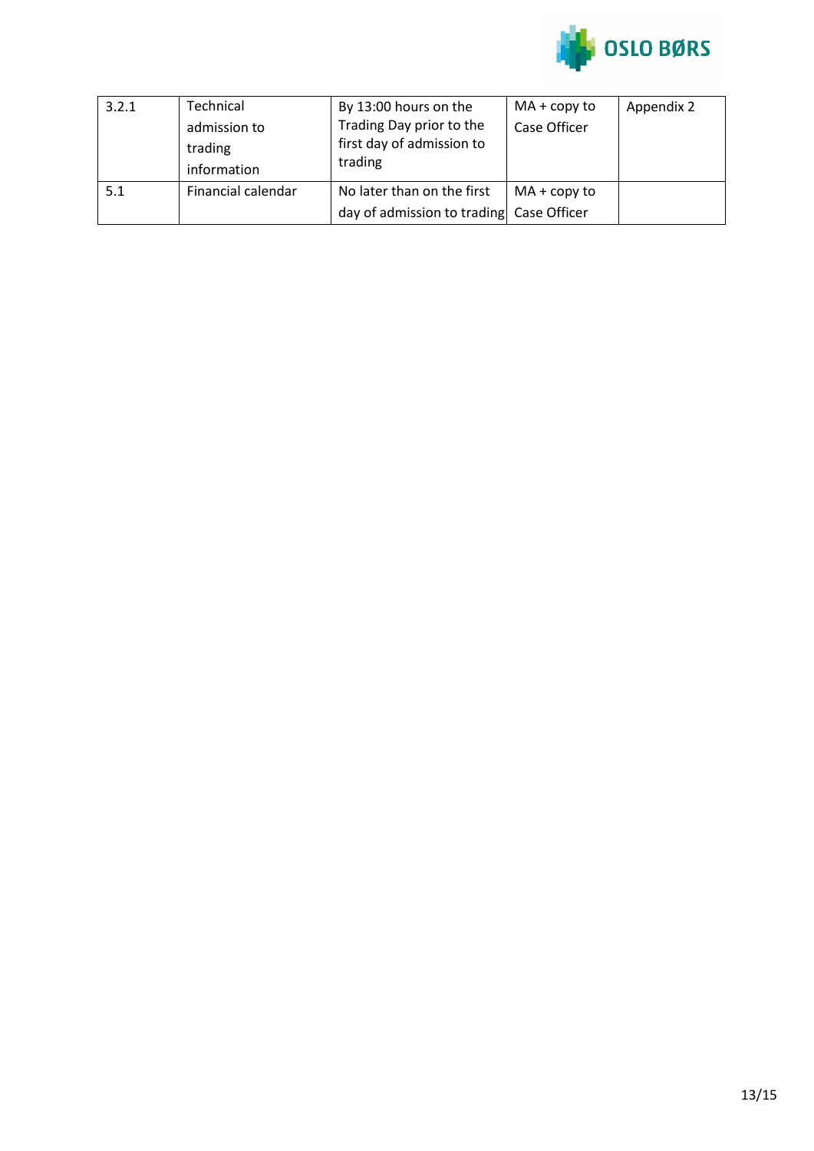

| 3.2.1 | Technical<br>admission to<br>trading<br>information | By 13:00 hours on the<br>Trading Day prior to the<br>first day of admission to<br>trading | $MA + copy to$<br>Case Officer | Appendix 2 |
|-------|-----------------------------------------------------|-------------------------------------------------------------------------------------------|--------------------------------|------------|
| 5.1   | Financial calendar                                  | No later than on the first<br>day of admission to trading Case Officer                    | $MA + copy to$                 |            |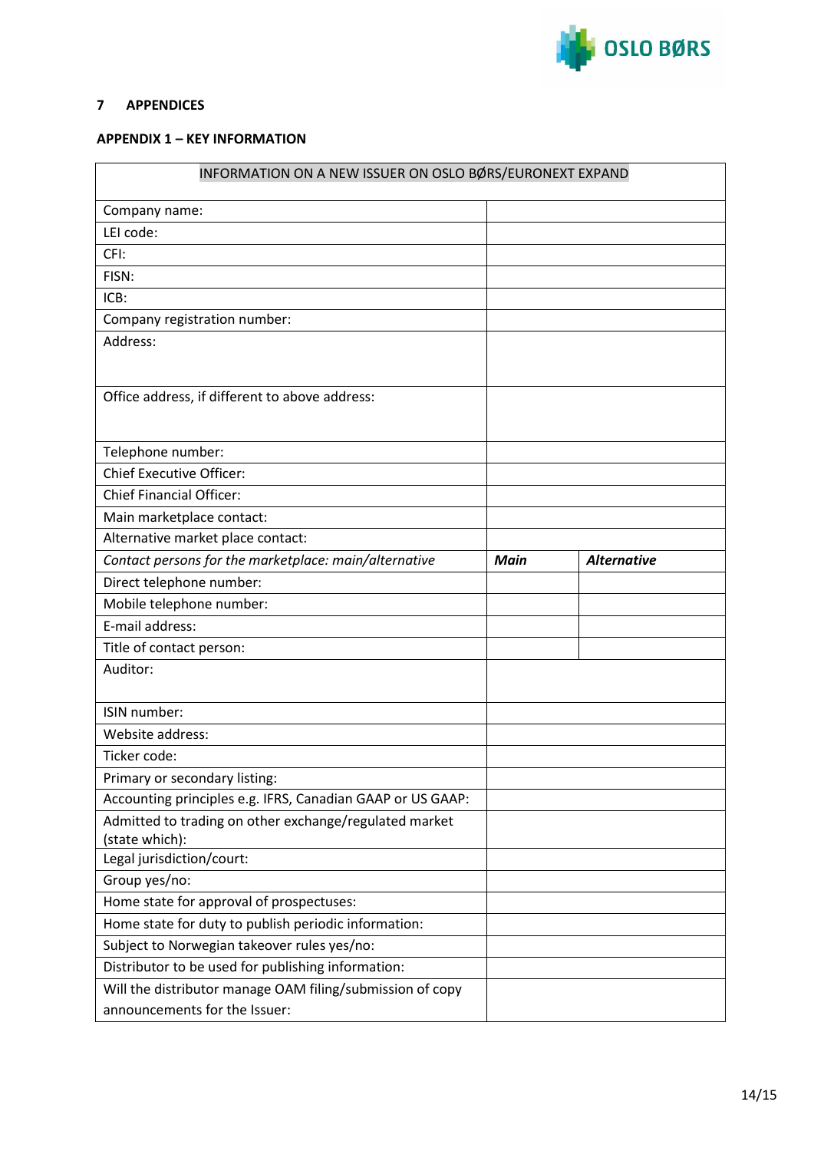

## <span id="page-13-0"></span>**7 APPENDICES**

#### <span id="page-13-1"></span>**APPENDIX 1 – KEY INFORMATION**

| INFORMATION ON A NEW ISSUER ON OSLO BØRS/EURONEXT EXPAND                                   |      |                    |  |  |
|--------------------------------------------------------------------------------------------|------|--------------------|--|--|
| Company name:                                                                              |      |                    |  |  |
| LEI code:                                                                                  |      |                    |  |  |
| CFI:                                                                                       |      |                    |  |  |
| FISN:                                                                                      |      |                    |  |  |
| ICB:                                                                                       |      |                    |  |  |
| Company registration number:                                                               |      |                    |  |  |
| Address:                                                                                   |      |                    |  |  |
| Office address, if different to above address:                                             |      |                    |  |  |
| Telephone number:                                                                          |      |                    |  |  |
| <b>Chief Executive Officer:</b>                                                            |      |                    |  |  |
| <b>Chief Financial Officer:</b>                                                            |      |                    |  |  |
| Main marketplace contact:                                                                  |      |                    |  |  |
| Alternative market place contact:                                                          |      |                    |  |  |
| Contact persons for the marketplace: main/alternative                                      | Main | <b>Alternative</b> |  |  |
| Direct telephone number:                                                                   |      |                    |  |  |
| Mobile telephone number:                                                                   |      |                    |  |  |
| E-mail address:                                                                            |      |                    |  |  |
| Title of contact person:                                                                   |      |                    |  |  |
| Auditor:                                                                                   |      |                    |  |  |
| ISIN number:                                                                               |      |                    |  |  |
| Website address:                                                                           |      |                    |  |  |
| Ticker code:                                                                               |      |                    |  |  |
| Primary or secondary listing:                                                              |      |                    |  |  |
| Accounting principles e.g. IFRS, Canadian GAAP or US GAAP:                                 |      |                    |  |  |
| Admitted to trading on other exchange/regulated market<br>(state which):                   |      |                    |  |  |
| Legal jurisdiction/court:                                                                  |      |                    |  |  |
| Group yes/no:                                                                              |      |                    |  |  |
| Home state for approval of prospectuses:                                                   |      |                    |  |  |
| Home state for duty to publish periodic information:                                       |      |                    |  |  |
| Subject to Norwegian takeover rules yes/no:                                                |      |                    |  |  |
| Distributor to be used for publishing information:                                         |      |                    |  |  |
| Will the distributor manage OAM filing/submission of copy<br>announcements for the Issuer: |      |                    |  |  |